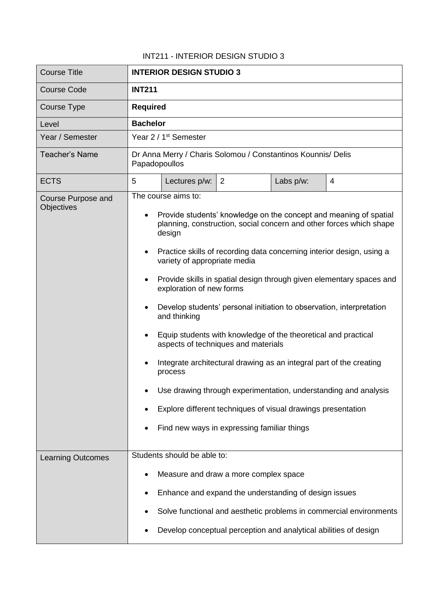## INT211 - INTERIOR DESIGN STUDIO 3

| <b>Course Title</b>      | <b>INTERIOR DESIGN STUDIO 3</b>                                                                                                                                 |  |  |  |
|--------------------------|-----------------------------------------------------------------------------------------------------------------------------------------------------------------|--|--|--|
| <b>Course Code</b>       | <b>INT211</b>                                                                                                                                                   |  |  |  |
| Course Type              | <b>Required</b>                                                                                                                                                 |  |  |  |
| Level                    | <b>Bachelor</b>                                                                                                                                                 |  |  |  |
| Year / Semester          | Year 2 / 1 <sup>st</sup> Semester                                                                                                                               |  |  |  |
| <b>Teacher's Name</b>    | Dr Anna Merry / Charis Solomou / Constantinos Kounnis/ Delis<br>Papadopoullos                                                                                   |  |  |  |
| <b>ECTS</b>              | 5<br>Lectures p/w:<br>Labs p/w:<br>$\overline{4}$<br>$\overline{2}$                                                                                             |  |  |  |
| Course Purpose and       | The course aims to:                                                                                                                                             |  |  |  |
| <b>Objectives</b>        | Provide students' knowledge on the concept and meaning of spatial<br>$\bullet$<br>planning, construction, social concern and other forces which shape<br>design |  |  |  |
|                          | Practice skills of recording data concerning interior design, using a<br>$\bullet$<br>variety of appropriate media                                              |  |  |  |
|                          | Provide skills in spatial design through given elementary spaces and<br>$\bullet$<br>exploration of new forms                                                   |  |  |  |
|                          | Develop students' personal initiation to observation, interpretation<br>$\bullet$<br>and thinking                                                               |  |  |  |
|                          | Equip students with knowledge of the theoretical and practical<br>$\bullet$<br>aspects of techniques and materials                                              |  |  |  |
|                          | Integrate architectural drawing as an integral part of the creating<br>process                                                                                  |  |  |  |
|                          | Use drawing through experimentation, understanding and analysis                                                                                                 |  |  |  |
|                          | Explore different techniques of visual drawings presentation                                                                                                    |  |  |  |
|                          | Find new ways in expressing familiar things                                                                                                                     |  |  |  |
| <b>Learning Outcomes</b> | Students should be able to:                                                                                                                                     |  |  |  |
|                          | Measure and draw a more complex space<br>$\bullet$                                                                                                              |  |  |  |
|                          | Enhance and expand the understanding of design issues<br>٠                                                                                                      |  |  |  |
|                          | Solve functional and aesthetic problems in commercial environments                                                                                              |  |  |  |
|                          | Develop conceptual perception and analytical abilities of design                                                                                                |  |  |  |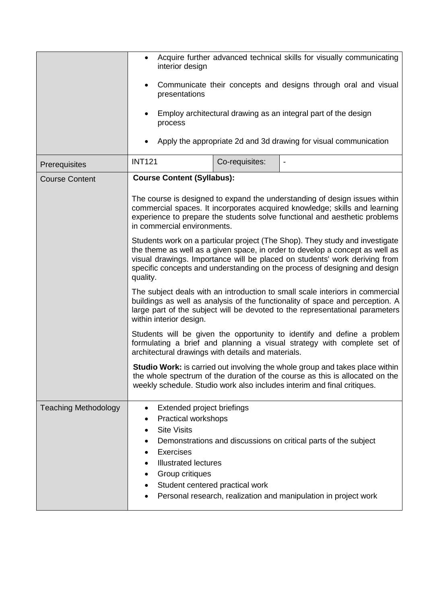|                             | Acquire further advanced technical skills for visually communicating<br>$\bullet$<br>interior design<br>Communicate their concepts and designs through oral and visual<br>٠<br>presentations<br>Employ architectural drawing as an integral part of the design<br>process<br>Apply the appropriate 2d and 3d drawing for visual communication                                                                                                                                                                                                                                                                                                      |  |  |  |
|-----------------------------|----------------------------------------------------------------------------------------------------------------------------------------------------------------------------------------------------------------------------------------------------------------------------------------------------------------------------------------------------------------------------------------------------------------------------------------------------------------------------------------------------------------------------------------------------------------------------------------------------------------------------------------------------|--|--|--|
| Prerequisites               | <b>INT121</b><br>Co-requisites:<br>$\overline{\phantom{a}}$                                                                                                                                                                                                                                                                                                                                                                                                                                                                                                                                                                                        |  |  |  |
| <b>Course Content</b>       | <b>Course Content (Syllabus):</b><br>The course is designed to expand the understanding of design issues within<br>commercial spaces. It incorporates acquired knowledge; skills and learning<br>experience to prepare the students solve functional and aesthetic problems<br>in commercial environments.<br>Students work on a particular project (The Shop). They study and investigate<br>the theme as well as a given space, in order to develop a concept as well as<br>visual drawings. Importance will be placed on students' work deriving from<br>specific concepts and understanding on the process of designing and design<br>quality. |  |  |  |
|                             |                                                                                                                                                                                                                                                                                                                                                                                                                                                                                                                                                                                                                                                    |  |  |  |
|                             |                                                                                                                                                                                                                                                                                                                                                                                                                                                                                                                                                                                                                                                    |  |  |  |
|                             | The subject deals with an introduction to small scale interiors in commercial<br>buildings as well as analysis of the functionality of space and perception. A<br>large part of the subject will be devoted to the representational parameters<br>within interior design.                                                                                                                                                                                                                                                                                                                                                                          |  |  |  |
|                             | Students will be given the opportunity to identify and define a problem<br>formulating a brief and planning a visual strategy with complete set of<br>architectural drawings with details and materials.                                                                                                                                                                                                                                                                                                                                                                                                                                           |  |  |  |
|                             | <b>Studio Work:</b> is carried out involving the whole group and takes place within<br>the whole spectrum of the duration of the course as this is allocated on the<br>weekly schedule. Studio work also includes interim and final critiques.                                                                                                                                                                                                                                                                                                                                                                                                     |  |  |  |
| <b>Teaching Methodology</b> | Extended project briefings<br>$\bullet$<br>Practical workshops<br><b>Site Visits</b><br>Demonstrations and discussions on critical parts of the subject<br>Exercises<br><b>Illustrated lectures</b><br>Group critiques<br>Student centered practical work<br>Personal research, realization and manipulation in project work                                                                                                                                                                                                                                                                                                                       |  |  |  |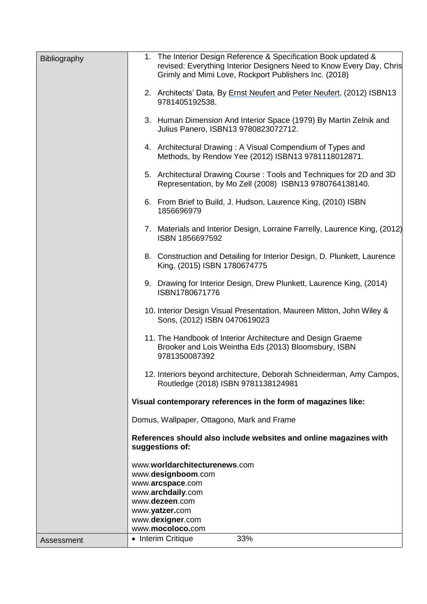| Bibliography | 1. The Interior Design Reference & Specification Book updated &<br>revised: Everything Interior Designers Need to Know Every Day, Chris<br>Grimly and Mimi Love, Rockport Publishers Inc. (2018) |  |  |
|--------------|--------------------------------------------------------------------------------------------------------------------------------------------------------------------------------------------------|--|--|
|              | 2. Architects' Data, By Ernst Neufert and Peter Neufert, (2012) ISBN13<br>9781405192538.                                                                                                         |  |  |
|              | 3. Human Dimension And Interior Space (1979) By Martin Zelnik and<br>Julius Panero, ISBN13 9780823072712.                                                                                        |  |  |
|              | 4. Architectural Drawing: A Visual Compendium of Types and<br>Methods, by Rendow Yee (2012) ISBN13 9781118012871.                                                                                |  |  |
|              | 5. Architectural Drawing Course: Tools and Techniques for 2D and 3D<br>Representation, by Mo Zell (2008) ISBN13 9780764138140.                                                                   |  |  |
|              | 6. From Brief to Build, J. Hudson, Laurence King, (2010) ISBN<br>1856696979                                                                                                                      |  |  |
|              | 7. Materials and Interior Design, Lorraine Farrelly, Laurence King, (2012)<br>ISBN 1856697592                                                                                                    |  |  |
|              | 8. Construction and Detailing for Interior Design, D. Plunkett, Laurence<br>King, (2015) ISBN 1780674775                                                                                         |  |  |
|              | 9. Drawing for Interior Design, Drew Plunkett, Laurence King, (2014)<br>ISBN1780671776                                                                                                           |  |  |
|              | 10. Interior Design Visual Presentation, Maureen Mitton, John Wiley &<br>Sons, (2012) ISBN 0470619023                                                                                            |  |  |
|              | 11. The Handbook of Interior Architecture and Design Graeme<br>Brooker and Lois Weintha Eds (2013) Bloomsbury, ISBN<br>9781350087392                                                             |  |  |
|              | 12. Interiors beyond architecture, Deborah Schneiderman, Amy Campos,<br>Routledge (2018) ISBN 9781138124981                                                                                      |  |  |
|              | Visual contemporary references in the form of magazines like:                                                                                                                                    |  |  |
|              | Domus, Wallpaper, Ottagono, Mark and Frame                                                                                                                                                       |  |  |
|              | References should also include websites and online magazines with<br>suggestions of:                                                                                                             |  |  |
|              | www.worldarchitecturenews.com                                                                                                                                                                    |  |  |
|              | www.designboom.com<br>www.arcspace.com<br>www.archdaily.com<br>www.dezeen.com<br>www.yatzer.com                                                                                                  |  |  |
|              |                                                                                                                                                                                                  |  |  |
|              |                                                                                                                                                                                                  |  |  |
|              | www.dexigner.com<br>www.mocoloco.com                                                                                                                                                             |  |  |
| Assessment   | • Interim Critique<br>33%                                                                                                                                                                        |  |  |